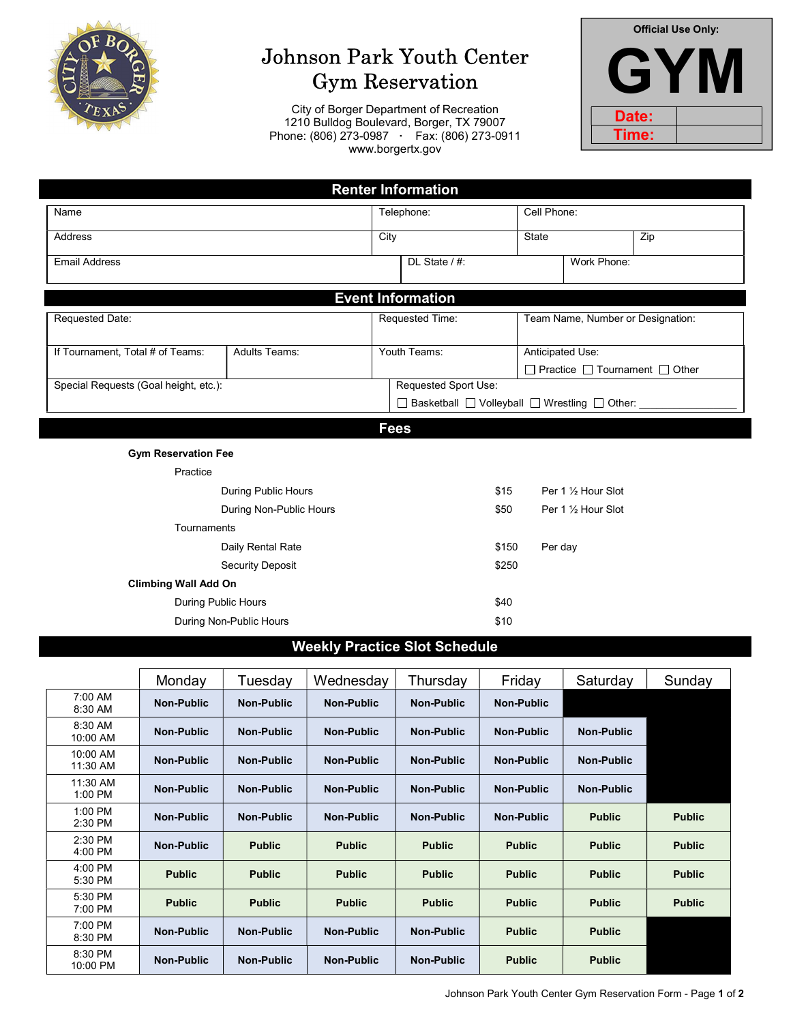

# Johnson Park Youth Center Gym Reservation

City of Borger Department of Recreation 1210 Bulldog Boulevard, Borger, TX 79007 Phone: (806) 273-0987 · Fax: (806) 273-0911 www.borgertx.gov



| <b>Renter Information</b>             |                            |      |                                                                        |              |                                                                    |     |  |  |
|---------------------------------------|----------------------------|------|------------------------------------------------------------------------|--------------|--------------------------------------------------------------------|-----|--|--|
| Name                                  |                            |      | Telephone:                                                             |              | Cell Phone:                                                        |     |  |  |
| <b>Address</b>                        |                            | City |                                                                        | <b>State</b> |                                                                    | Zip |  |  |
| <b>Email Address</b>                  |                            |      | $DL$ State $/$ #:                                                      |              | Work Phone:                                                        |     |  |  |
| <b>Event Information</b>              |                            |      |                                                                        |              |                                                                    |     |  |  |
| Requested Date:                       |                            |      | Requested Time:                                                        |              | Team Name, Number or Designation:                                  |     |  |  |
| If Tournament, Total # of Teams:      | <b>Adults Teams:</b>       |      | Youth Teams:                                                           |              | Anticipated Use:<br>$\Box$ Practice $\Box$ Tournament $\Box$ Other |     |  |  |
| Special Requests (Goal height, etc.): |                            |      | Requested Sport Use:<br>□ Basketball □ Volleyball □ Wrestling □ Other: |              |                                                                    |     |  |  |
|                                       | <b>Fees</b>                |      |                                                                        |              |                                                                    |     |  |  |
| <b>Gym Reservation Fee</b>            |                            |      |                                                                        |              |                                                                    |     |  |  |
| Practice                              |                            |      |                                                                        |              |                                                                    |     |  |  |
|                                       | <b>During Public Hours</b> |      |                                                                        | \$15         | Per 1 1/2 Hour Slot                                                |     |  |  |
|                                       | During Non-Public Hours    |      |                                                                        | \$50         | Per 1 1/2 Hour Slot                                                |     |  |  |
| Tournaments                           |                            |      |                                                                        |              |                                                                    |     |  |  |
|                                       | Daily Rental Rate          |      |                                                                        | \$150        | Per day                                                            |     |  |  |
|                                       | <b>Security Deposit</b>    |      |                                                                        | \$250        |                                                                    |     |  |  |
| <b>Climbing Wall Add On</b>           |                            |      |                                                                        |              |                                                                    |     |  |  |
| <b>During Public Hours</b>            |                            |      |                                                                        | \$40         |                                                                    |     |  |  |

# Weekly Practice Slot Schedule

During Non-Public Hours \$10

|                      | Monday            | Tuesdav           | Wednesday         | Thursdav          | Friday            | Saturday          | Sunday        |
|----------------------|-------------------|-------------------|-------------------|-------------------|-------------------|-------------------|---------------|
| 7:00 AM<br>8:30 AM   | Non-Public        | <b>Non-Public</b> | Non-Public        | <b>Non-Public</b> | <b>Non-Public</b> |                   |               |
| 8:30 AM<br>10:00 AM  | <b>Non-Public</b> | <b>Non-Public</b> | <b>Non-Public</b> | <b>Non-Public</b> | <b>Non-Public</b> | <b>Non-Public</b> |               |
| 10:00 AM<br>11:30 AM | <b>Non-Public</b> | <b>Non-Public</b> | <b>Non-Public</b> | <b>Non-Public</b> | <b>Non-Public</b> | Non-Public        |               |
| 11:30 AM<br>1:00 PM  | <b>Non-Public</b> | <b>Non-Public</b> | <b>Non-Public</b> | <b>Non-Public</b> | <b>Non-Public</b> | Non-Public        |               |
| 1:00 PM<br>2:30 PM   | <b>Non-Public</b> | <b>Non-Public</b> | <b>Non-Public</b> | <b>Non-Public</b> | <b>Non-Public</b> | <b>Public</b>     | <b>Public</b> |
| 2:30 PM<br>4:00 PM   | <b>Non-Public</b> | <b>Public</b>     | <b>Public</b>     | <b>Public</b>     | <b>Public</b>     | <b>Public</b>     | <b>Public</b> |
| 4:00 PM<br>5:30 PM   | <b>Public</b>     | <b>Public</b>     | <b>Public</b>     | <b>Public</b>     | <b>Public</b>     | <b>Public</b>     | <b>Public</b> |
| 5:30 PM<br>7:00 PM   | <b>Public</b>     | <b>Public</b>     | <b>Public</b>     | <b>Public</b>     | <b>Public</b>     | <b>Public</b>     | <b>Public</b> |
| 7:00 PM<br>8:30 PM   | <b>Non-Public</b> | <b>Non-Public</b> | <b>Non-Public</b> | <b>Non-Public</b> | <b>Public</b>     | <b>Public</b>     |               |
| 8:30 PM<br>10:00 PM  | <b>Non-Public</b> | <b>Non-Public</b> | <b>Non-Public</b> | <b>Non-Public</b> | <b>Public</b>     | <b>Public</b>     |               |